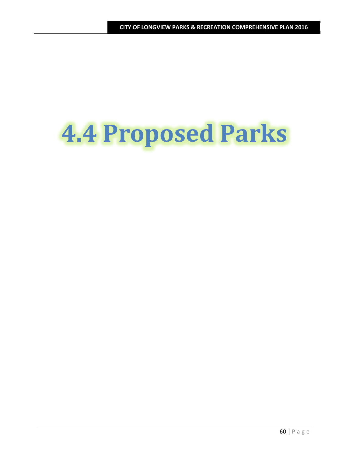# **4.4 Proposed Parks**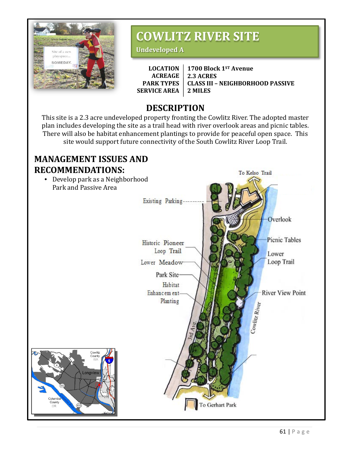

#### **CITY OF LONGVIEW PARKS & RECREATION COMPREHENSIVE PLAN 2016 COWLITZ RIVER SITE**

**Undeveloped A**

**LOCATION ACREAGE PARK TYPES SERVICE AREA 1700 Block 1ST Avenue 2.3 ACRES CLASS III – NEIGHBORHOOD PASSIVE 2 MILES**

## **DESCRIPTION**

This site is a 2.3 acre undeveloped property fronting the Cowlitz River. The adopted master plan includes developing the site as a trail head with river overlook areas and picnic tables. There will also be habitat enhancement plantings to provide for peaceful open space. This site would support future connectivity of the South Cowlitz River Loop Trail.